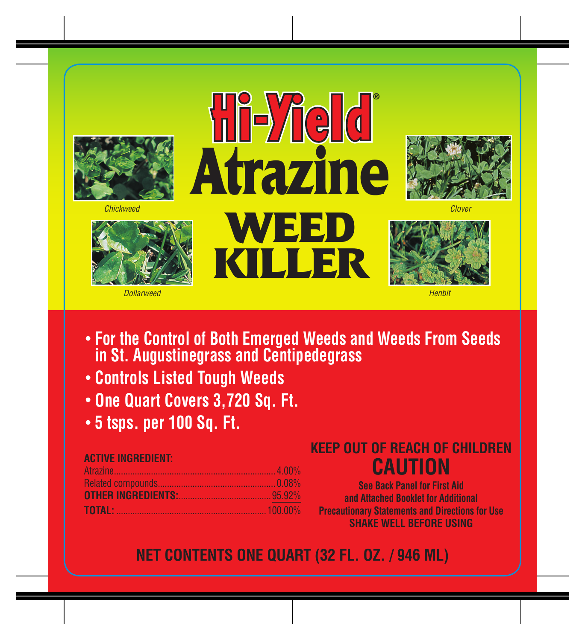



*Dollarweed Henbit*

# **Hi-Yield Atrazine** *Chickweed Clover***WEED**

**KILLER**





- **• For the Control of Both Emerged Weeds and Weeds From Seeds in St. Augustinegrass and Centipedegrass**
- **Controls Listed Tough Weeds**
- **One Quart Covers 3,720 Sq. Ft.**
- **5 tsps. per 100 Sq. Ft.**

| <b>ACTIVE INGREDIENT:</b> |  |
|---------------------------|--|
|                           |  |
|                           |  |
|                           |  |
|                           |  |

## **KEEP OUT OF REACH OF CHILDREN CAUTION**

**See Back Panel for First Aid and Attached Booklet for Additional Precautionary Statements and Directions for Use SHAKE WELL BEFORE USING** 

**NET CONTENTS ONE QUART (32 FL. OZ. / 946 ML)**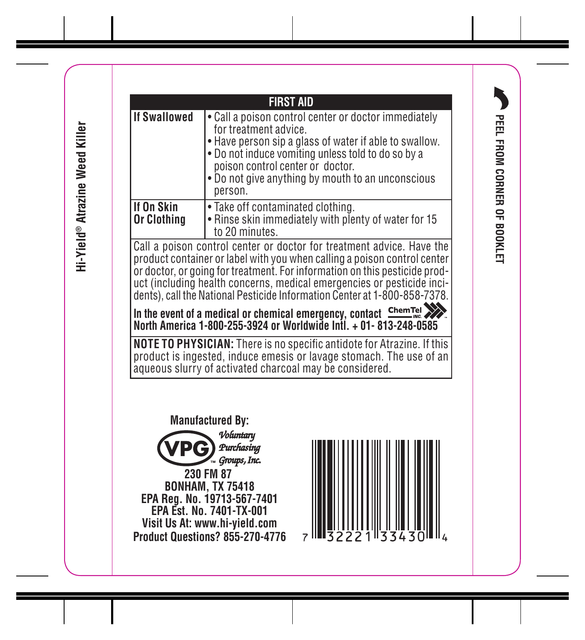Hi-Yield® Atrazine Weed Killer  **Hi-Yield® Atrazine Weed Killer**



33430 \_Common.indd 1 7/14/11 7:10 AM

PEEL FROM CORNER OF BOOKLET **PEEL FROM CORNER OF BOOKLET**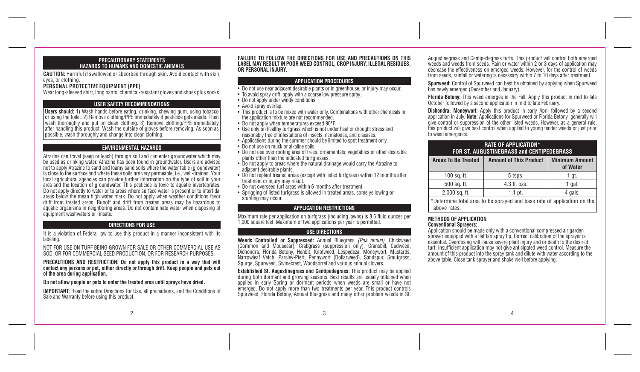#### **PRECAUTIONARY STATEMENTS HAZARDS TO HUMANS AND DOMESTIC ANIMALS**

**CAUTION:** Harmful if swallowed or absorbed through skin. Avoid contact with skin, eyes, or clothing.

#### **PERSONAL PROTECTIVE EQUIPMENT (PPE)**

Wear long-sleeved shirt, long pants, chemical-resistant gloves and shoes plus socks.

### **USER SAFETY RECOMMENDATIONS**

**Users should:** 1) Wash hands before eating, drinking, chewing gum, using tobacco or using the toilet. 2) Remove clothing/PPE immediately if pesticide gets inside. Then wash thoroughly and put on clean clothing. 3) Remove clothing/PPE immediately after handling this product. Wash the outside of gloves before removing. As soon as possible, wash thoroughly and change into clean clothing.

#### **ENVIRONMENTAL HAZARDS**

Atrazine can travel (seep or leach) through soil and can enter groundwater which may be used as drinking water. Atrazine has been found in groundwater. Users are advised not to apply Atrazine to sand and loamy sand soils where the water table (groundwater) is close to the surface and where these soils are very permeable, i.e., well-drained. Your local agricultural agencies can provide further information on the type of soil in your area and the location of groundwater. This pesticide is toxic to aquatic invertebrates. Do not apply directly to water or to areas where surface water is present or to intertidal areas below the mean high water mark. Do not apply when weather conditions favor drift from treated areas. Runoff and drift from treated areas may be hazardous to aquatic organisms in neighboring areas. Do not contaminate water when disposing of equipment washwaters or rinsate.

#### **DIRECTIONS FOR USE**

It is a violation of Federal law to use this product in a manner inconsistent with its labeling.

NOT FOR USE ON TURF BEING GROWN FOR SALE OR OTHER COMMERCIAL USE AS SOD, OR FOR COMMERCIAL SEED PRODUCTION, OR FOR RESEARCH PURPOSES.

**PRECAUTIONS AND RESTRICTION: Do not apply this product in a way that will contact any persons or pet, either directly or through drift. Keep people and pets out of the area during application.**

#### **Do not allow people or pets to enter the treated area until sprays have dried.**

**IMPORTANT:** Read the entire Directions for Use, all precautions, and the Conditions of Sale and Warranty before using this product.

#### **FAILURE TO FOLLOW THE DIRECTIONS FOR USE AND PRECAUTIONS ON THIS LABEL MAY RESULT IN POOR WEED CONTROL, CROP INJURY, ILLEGAL RESIDUES, OR PERSONAL INJURY.**

#### **APPLICATION PROCEDURES**

- Do not use near adjacent desirable plants or in greenhouse, or injury may occur.
- To avoid spray drift, apply with a coarse low pressure spray.
- Do not apply under windy conditions.
- Avoid spray overlap.
- This product is to be mixed with water only. Combinations with other chemicals in the application mixture are not recommended.
- Do not apply when temperatures exceed 90°F.
- Use only on healthy turfgrass which is not under heat or drought stress and reasonably free of infestations of insects, nematodes, and diseases.
- Applications during the summer should be limited to spot treatment only.
- Do not use on muck or alkaline soils.
- Do not use over rooting area of trees, ornamentals, vegetables or other desirable plants other than the indicated turfgrasses.
- Do not apply to areas where the natural drainage would carry the Atrazine to adiacent desirable plants.
- Do not replant treated areas (except with listed turfgrass) within 12 months after treatment or injury may result.
- Do not overseed turf areas within 6 months after treatment.
- Sprigging of listed turfgrass is allowed in treated areas, some yellowing or stunting may occur.

#### **APPLICATION RESTRICTIONS**

Maximum rate per application on turfgrass (including lawns) is 8.6 fluid ounces per 1,000 square feet. Maximum of two applications per year is permitted.

#### **USE DIRECTIONS**

**Weeds Controlled or Suppressed:** Annual Bluegrass *(Poa annua)*, Chickweed (Common and Mouseear), Crabgrass (suppression only), Cransbill, Cudweed, Dichondra, Florida Betony, Henbit, Knotweed, Lespedeza, Moneywort, Mustards, Narrowleaf Vetch, Parsley-Piert, Pennywort (Dollarweed), Sandspur, Smutgrass, Spurge, Spurweed, Swinecrest, Woodsorrel and various annual clovers.

**Established St. Augustinegrass and Centipedegrass:** This product may be applied during both dormant and growing seasons. Best results are usually obtained when applied in early Spring or dormant periods when weeds are small or have not emerged. Do not apply more than two treatments per year. This product controls Spurweed, Florida Betony, Annual Bluegrass and many other problem weeds in St.

Augustinegrass and Centipedegrass turfs. This product will control both emerged weeds and weeds from seeds. Rain or water within 2 or 3 days of application may decrease the effectiveness on emerged weeds. However, for the control of weeds from seeds, rainfall or watering is necessary within 7 to 10 days after treatment.

**Spurweed:** Control of Spurweed can best be obtained by applying when Spurweed has newly emerged (December and January).

**Florida Betony:** This weed emerges in the Fall. Apply this product in mid to late October followed by a second application in mid to late February.

**Dichondra, Moneywort:** Apply this product in early April followed by a second application in July. **Note:** Applications for Spurweed or Florida Betony generally will give control or suppression of the other listed weeds. However, as a general rule, this product will give best control when applied to young tender weeds or just prior to weed emergence.

| <b>RATE OF APPLICATION*</b><br><b>FOR ST. AUGUSTINEGRASS and CENTIPEDEGRASS</b> |                               |                                   |
|---------------------------------------------------------------------------------|-------------------------------|-----------------------------------|
| <b>Areas To Be Treated</b>                                                      | <b>Amount of This Product</b> | <b>Minimum Amount</b><br>of Water |
| 100 sq. ft.                                                                     | 5 tsps.                       | 1 gt.                             |
| 500 sq. ft.                                                                     | 4.3 fl. ozs.                  | 1 gal.                            |
| 2,000 sq. ft.                                                                   | $1.1$ pt.                     | 4 gals.                           |
| *Determine total area to be sprayed and base rate of application on the         |                               |                                   |

above rates.

#### **METHODS OF APPLICATION Conventional Sprayers:**

Application should be made only with a conventional compressed air garden sprayer equipped with a flat fan spray tip. Correct calibration of the sprayer is essential. Overdosing will cause severe plant injury and or death to the desired turf. Insufficient application may not give anticipated weed control. Measure the amount of this product into the spray tank and dilute with water according to the above table. Close tank sprayer and shake well before applying.